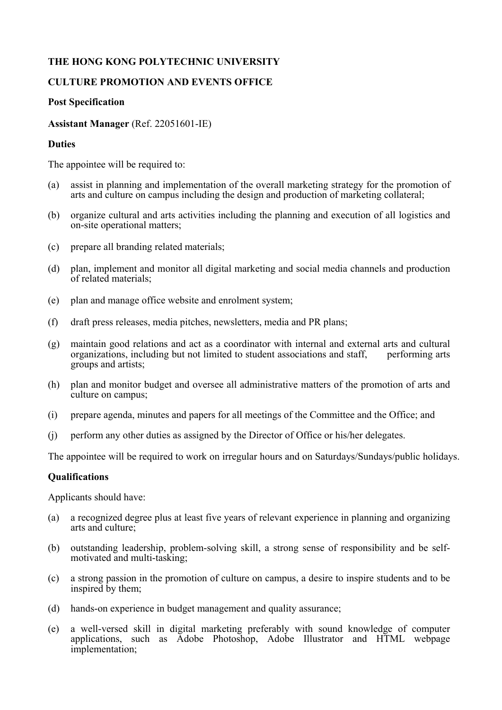# **THE HONG KONG POLYTECHNIC UNIVERSITY**

### **CULTURE PROMOTION AND EVENTS OFFICE**

#### **Post Specification**

### **Assistant Manager** (Ref. 22051601-IE)

#### **Duties**

The appointee will be required to:

- (a) assist in planning and implementation of the overall marketing strategy for the promotion of arts and culture on campus including the design and production of marketing collateral;
- (b) organize cultural and arts activities including the planning and execution of all logistics and on-site operational matters;
- (c) prepare all branding related materials;
- (d) plan, implement and monitor all digital marketing and social media channels and production of related materials;
- (e) plan and manage office website and enrolment system;
- (f) draft press releases, media pitches, newsletters, media and PR plans;
- (g) maintain good relations and act as a coordinator with internal and external arts and cultural organizations, including but not limited to student associations and staff, performing arts groups and artists;
- (h) plan and monitor budget and oversee all administrative matters of the promotion of arts and culture on campus;
- (i) prepare agenda, minutes and papers for all meetings of the Committee and the Office; and
- (j) perform any other duties as assigned by the Director of Office or his/her delegates.

The appointee will be required to work on irregular hours and on Saturdays/Sundays/public holidays.

# **Qualifications**

Applicants should have:

- (a) a recognized degree plus at least five years of relevant experience in planning and organizing arts and culture;
- (b) outstanding leadership, problem-solving skill, a strong sense of responsibility and be selfmotivated and multi-tasking;
- (c) a strong passion in the promotion of culture on campus, a desire to inspire students and to be inspired by them;
- (d) hands-on experience in budget management and quality assurance;
- (e) a well-versed skill in digital marketing preferably with sound knowledge of computer applications, such as Adobe Photoshop, Adobe Illustrator and HTML webpage implementation;